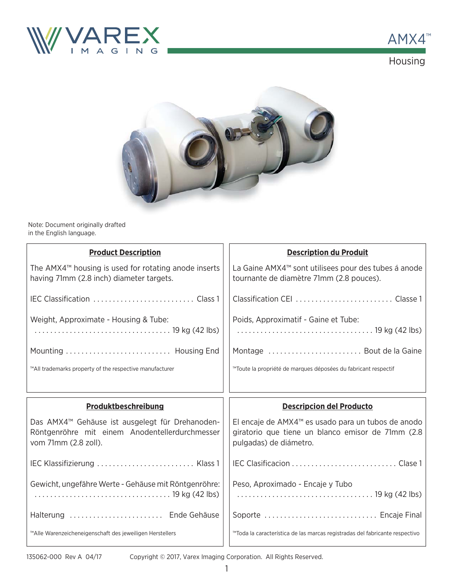

AMX4 ™Housing



Note: Document originally drafted in the English language.

| <b>Product Description</b>                                                                                                            | <b>Description du Produit</b>                                                                                                                 |  |
|---------------------------------------------------------------------------------------------------------------------------------------|-----------------------------------------------------------------------------------------------------------------------------------------------|--|
| The AMX4 <sup>™</sup> housing is used for rotating anode inserts<br>having 71mm (2.8 inch) diameter targets.                          | La Gaine AMX4 <sup>™</sup> sont utilisees pour des tubes á anode<br>tournante de diamètre 71mm (2.8 pouces).                                  |  |
|                                                                                                                                       |                                                                                                                                               |  |
| Weight, Approximate - Housing & Tube:                                                                                                 | Poids, Approximatif - Gaine et Tube:                                                                                                          |  |
| Mounting  Housing End                                                                                                                 | Montage  Bout de la Gaine                                                                                                                     |  |
| ™All trademarks property of the respective manufacturer                                                                               | ™Toute la propriété de marques déposées du fabricant respectif                                                                                |  |
|                                                                                                                                       |                                                                                                                                               |  |
|                                                                                                                                       |                                                                                                                                               |  |
| Produktbeschreibung                                                                                                                   | <b>Descripcion del Producto</b>                                                                                                               |  |
| Das AMX4 <sup>™</sup> Gehäuse ist ausgelegt für Drehanoden-<br>Röntgenröhre mit einem Anodentellerdurchmesser<br>vom 71mm (2.8 zoll). | El encaje de AMX4 <sup>™</sup> es usado para un tubos de anodo<br>giratorio que tiene un blanco emisor de 71mm (2.8<br>pulgadas) de diámetro. |  |
| IEC Klassifizierung  Klass 1                                                                                                          |                                                                                                                                               |  |
| Gewicht, ungefähre Werte - Gehäuse mit Röntgenröhre:                                                                                  | Peso, Aproximado - Encaje y Tubo                                                                                                              |  |
| Halterung  Ende Gehäuse                                                                                                               | Soporte  Encaje Final                                                                                                                         |  |

Copyright © 2017, Varex Imaging Corporation. All Rights Reserved.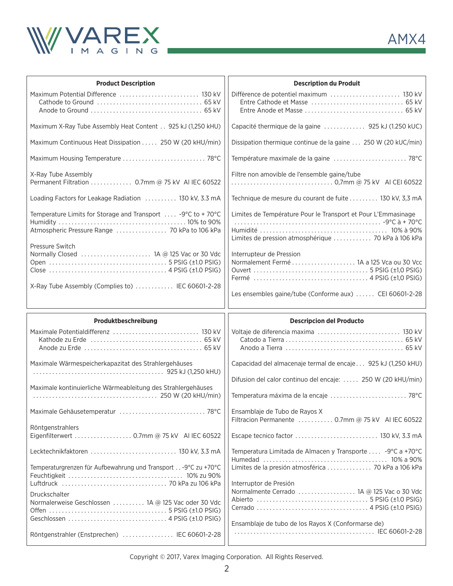

| <b>Product Description</b>                                                                                                              | <b>Description du Produit</b>                                                                                        |  |
|-----------------------------------------------------------------------------------------------------------------------------------------|----------------------------------------------------------------------------------------------------------------------|--|
| Maximum Potential Difference  130 kV                                                                                                    |                                                                                                                      |  |
| Maximum X-Ray Tube Assembly Heat Content 925 kJ (1,250 kHU)                                                                             | Capacité thermique de la gaine  925 kJ (1.250 kUC)                                                                   |  |
| Maximum Continuous Heat Dissipation  250 W (20 kHU/min)                                                                                 | Dissipation thermique continue de la gaine  250 W (20 kUC/min)                                                       |  |
|                                                                                                                                         | Température maximale de la gaine  78°C                                                                               |  |
| X-Ray Tube Assembly<br>Permanent Filtration  0.7mm @ 75 kV AI IEC 60522                                                                 | Filtre non amovible de l'ensemble gaine/tube                                                                         |  |
| Loading Factors for Leakage Radiation  130 kV, 3.3 mA                                                                                   | Technique de mesure du courant de fuite  130 kV, 3,3 mA                                                              |  |
| Temperature Limits for Storage and Transport $\ldots$ -9°C to +70°C<br>Atmospheric Pressure Range  70 kPa to 106 kPa<br>Pressure Switch | Limites de Température Pour le Transport et Pour L'Emmasinage<br>Limites de pression atmosphérique  70 kPa à 106 kPa |  |
| Normally Closed  1A @ 125 Vac or 30 Vdc                                                                                                 | Interrupteur de Pression<br>Normalement Fermé  1A a 125 Vca ou 30 Vcc                                                |  |
| X-Ray Tube Assembly (Complies to)  IEC 60601-2-28                                                                                       | Les ensembles gaine/tube (Conforme aux)  CEI 60601-2-28                                                              |  |
|                                                                                                                                         |                                                                                                                      |  |
| Produktbeschreibung                                                                                                                     | <b>Descripcion del Producto</b>                                                                                      |  |
|                                                                                                                                         | Voltaje de diferencia maxima  130 kV                                                                                 |  |
| Maximale Wärmespeicherkapazitat des Strahlergehäuses                                                                                    | Capacidad del almacenaje termal de encaje 925 kJ (1,250 kHU)                                                         |  |
|                                                                                                                                         | Difusion del calor continuo del encaje:  250 W (20 kHU/min)                                                          |  |
| Maximale kontinuierliche Wärmeableitung des Strahlergehäuses                                                                            | Temperatura máxima de la encaje  78°C                                                                                |  |
|                                                                                                                                         | Ensamblaje de Tubo de Rayos X<br>Filtracion Permanente  0.7mm @ 75 kV AI IEC 60522                                   |  |
| Röntgenstrahlers<br>Eigenfilterwert 0.7mm @ 75 kV AI IEC 60522                                                                          |                                                                                                                      |  |
| Lecktechnikfaktoren  130 kV, 3.3 mA                                                                                                     | Temperatura Limitada de Almacen y Transporte  -9°C a +70°C                                                           |  |
| Temperaturgrenzen für Aufbewahrung und Transport - 9°C zu +70°C                                                                         | Límites de la presión atmosférica  70 kPa a 106 kPa                                                                  |  |
| Druckschalter<br>Normalerweise Geschlossen  1A @ 125 Vac oder 30 Vdc                                                                    | Interruptor de Presión<br>Normalmente Cerrado  1A @ 125 Vac o 30 Vdc                                                 |  |

Copyright © 2017, Varex Imaging Corporation. All Rights Reserved.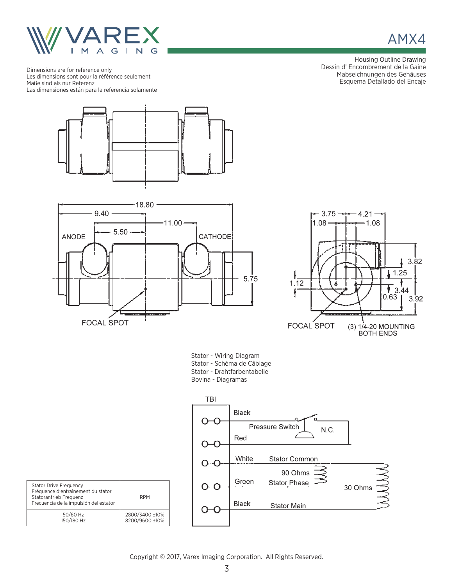

Dimensions are for reference only Les dimensions sont pour la référence seulement Maße sind als nur Referenz Las dimensiones están para la referencia solamente







Stator - Wiring Diagram Stator - Schéma de Câblage Stator - Drahtfarbentabelle Bovina - Diagramas



| <b>Stator Drive Frequency</b><br>Fréquence d'entraînement du stator<br>Statorantrieb Frequenz<br>Frecuencia de la impulsión del estator | <b>RPM</b>     |
|-----------------------------------------------------------------------------------------------------------------------------------------|----------------|
| 50/60 Hz                                                                                                                                | 2800/3400 ±10% |
| 150/180 Hz                                                                                                                              | 8200/9600 ±10% |

Copyright © 2017, Varex Imaging Corporation. All Rights Reserved. 3



Housing Outline Drawing Dessin d' Encombrement de la Gaine Mabseichnungen des Gehäuses Esquema Detallado del Encaje